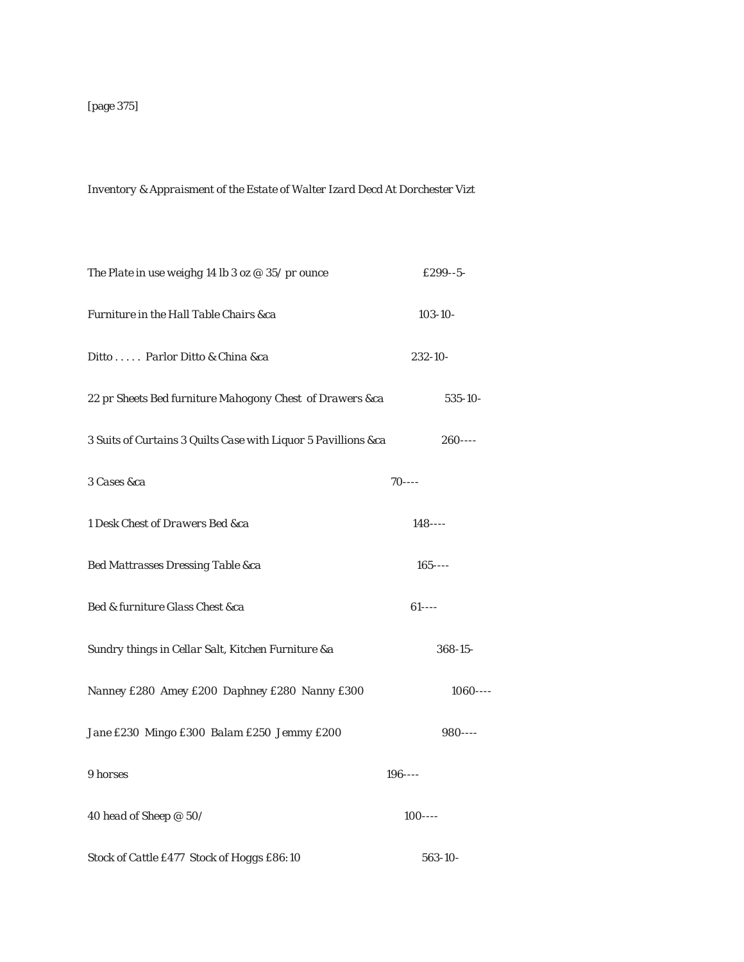## *Inventory & Appraisment of the Estate of Walter Izard Decd At Dorchester Vizt*

| The Plate in use weighg 14 lb 3 oz $@35/$ pr ounce             | £299--5-     |  |
|----------------------------------------------------------------|--------------|--|
| Furniture in the Hall Table Chairs &ca                         | $103 - 10 -$ |  |
| Ditto  Parlor Ditto & China &ca                                | $232 - 10$   |  |
| 22 pr Sheets Bed furniture Mahogony Chest of Drawers &ca       | 535-10-      |  |
| 3 Suits of Curtains 3 Quilts Case with Liquor 5 Pavillions &ca | $260--$      |  |
| 3 Cases &ca                                                    | $70--$       |  |
| 1 Desk Chest of Drawers Bed &ca                                | $148$ ----   |  |
| Bed Mattrasses Dressing Table &ca                              | $165$ ----   |  |
| Bed & furniture Glass Chest &ca                                | $61$ ----    |  |
| Sundry things in Cellar Salt, Kitchen Furniture &a             | $368 - 15$   |  |
| Nanney £280 Amey £200 Daphney £280 Nanny £300                  | $1060---$    |  |
| Jane £230 Mingo £300 Balam £250 Jemmy £200                     | $980---$     |  |
| 9 horses                                                       | $196 - - -$  |  |
| 40 head of Sheep @ 50/                                         | $100---$     |  |
| Stock of Cattle £477 Stock of Hoggs £86:10                     | 563-10-      |  |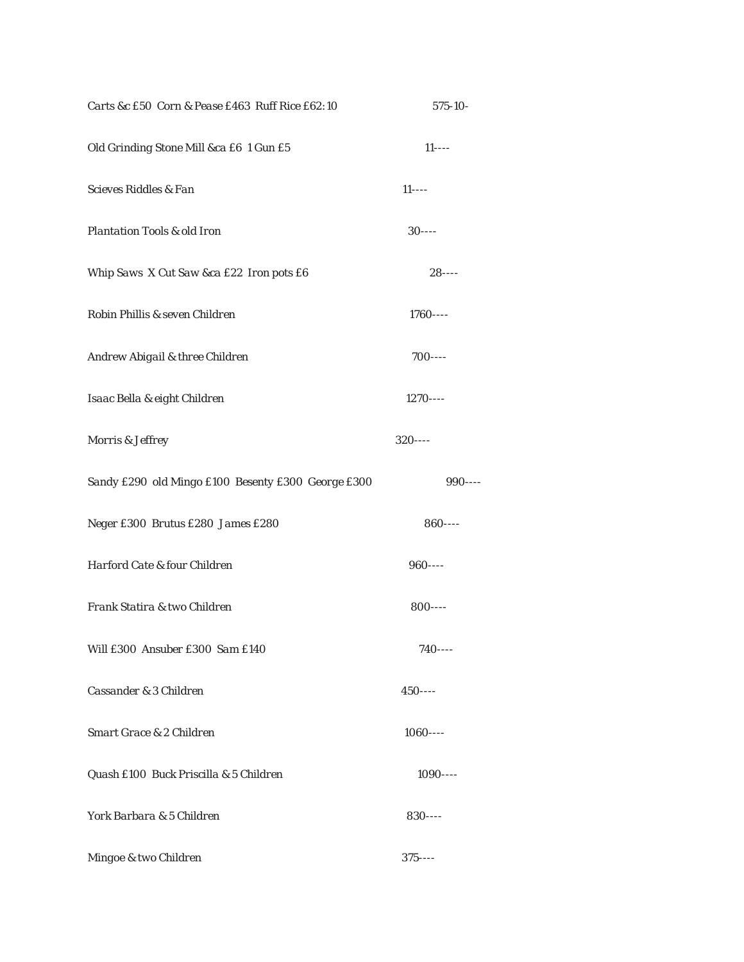| Carts &c £50 Corn & Pease £463 Ruff Rice £62:10    | 575-10-    |
|----------------------------------------------------|------------|
| Old Grinding Stone Mill &ca £6 1 Gun £5            | $11$ ----  |
| Scieves Riddles & Fan                              | $11$ ----  |
| Plantation Tools & old Iron                        | $30$ ----  |
| Whip Saws X Cut Saw &ca £22 Iron pots £6           | $28 - - -$ |
| Robin Phillis & seven Children                     | $1760---$  |
| Andrew Abigail & three Children                    | $700---$   |
| Isaac Bella & eight Children                       | $1270---$  |
| Morris & Jeffrey                                   | $320---$   |
| Sandy £290 old Mingo £100 Besenty £300 George £300 | $990---$   |
| Neger £300 Brutus £280 James £280                  | $860---$   |
| Harford Cate & four Children                       | $960---$   |
| Frank Statira & two Children                       | $800---$   |
| Will £300 Ansuber £300 Sam £140                    | $740--$    |
| Cassander & 3 Children                             | $450$ ---- |
| Smart Grace & 2 Children                           | $1060---$  |
| Quash £100 Buck Priscilla & 5 Children             | $1090---$  |
| York Barbara & 5 Children                          | $830---$   |
| Mingoe & two Children                              | $375$ ---- |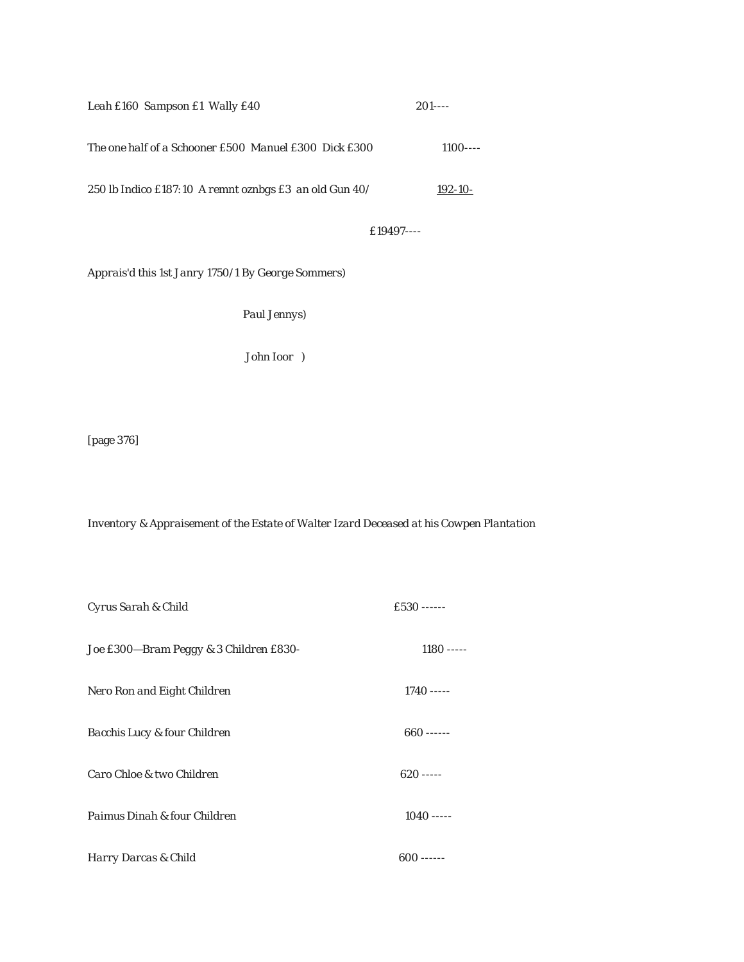| Leah £160 Sampson £1 Wally £40                           | $201$ ---- |
|----------------------------------------------------------|------------|
| The one half of a Schooner £500 Manuel £300 Dick £300    | $1100---$  |
| 250 lb Indico £187:10 A remnt oznbgs £3 an old Gun $40/$ | 192-10-    |
|                                                          |            |

 *£19497----*

*Apprais'd this 1st Janry 1750/1 By George Sommers)*

 *Paul Jennys)*

 *John Ioor )*

[page 376]

*Inventory & Appraisement of the Estate of Walter Izard Deceased at his Cowpen Plantation*

| Cyrus Sarah & Child                    | $f.530$ ------ |
|----------------------------------------|----------------|
| Joe £300-Bram Peggy & 3 Children £830- | $1180$ -----   |
| Nero Ron and Eight Children            | $1740$ -----   |
| Bacchis Lucy & four Children           | $660$ ------   |
| Caro Chloe & two Children              | $620$ -----    |
| Paimus Dinah & four Children           | $1040$ -----   |
| Harry Darcas & Child                   | $600$ ------   |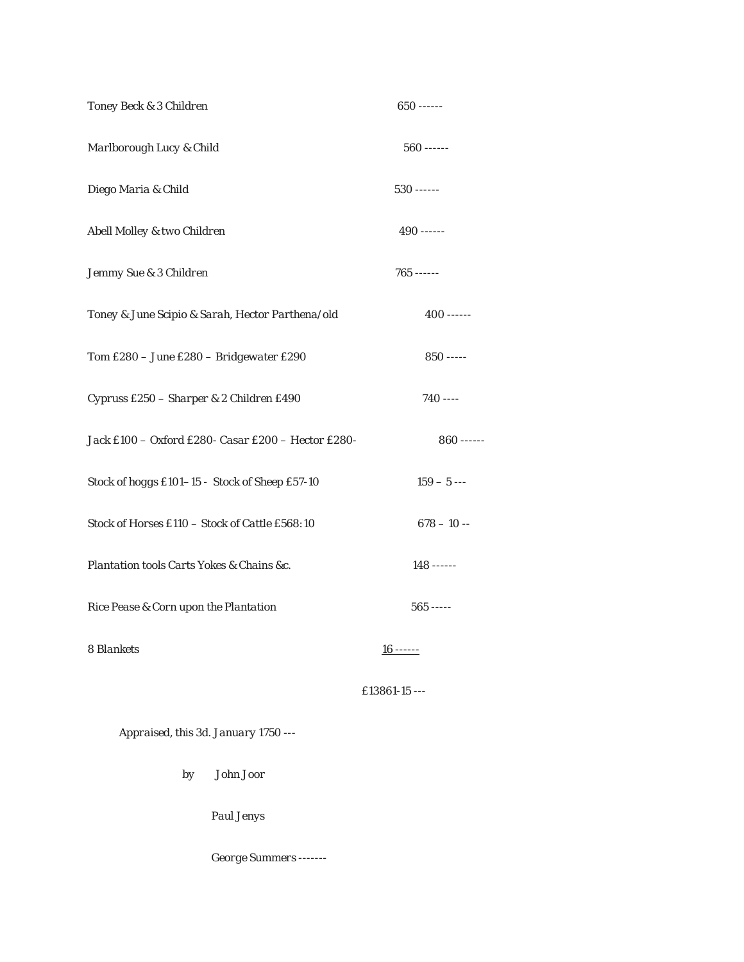| Toney Beck & 3 Children                            | $650$ ------  |
|----------------------------------------------------|---------------|
| Marlborough Lucy & Child                           | $560$ ------  |
| Diego Maria & Child                                | $530$ ------  |
| Abell Molley & two Children                        | $490$ ------  |
| Jemmy Sue & 3 Children                             | $765$ ------  |
| Toney & June Scipio & Sarah, Hector Parthena/old   | $400$ ------  |
| Tom £280 - June £280 - Bridgewater £290            | $850$ -----   |
| Cypruss £250 - Sharper & 2 Children £490           | $740$ ----    |
| Jack £100 - Oxford £280- Casar £200 - Hector £280- | $860$ ------  |
| Stock of hoggs £101-15 - Stock of Sheep £57-10     | $159 - 5 -$   |
| Stock of Horses £110 - Stock of Cattle £568:10     | $678 - 10 -$  |
| Plantation tools Carts Yokes & Chains &c.          | $148$ ------  |
| Rice Pease & Corn upon the Plantation              | $565$ -----   |
| 8 Blankets                                         | $16$ ------   |
|                                                    | £13861-15 --- |

 *Appraised, this 3d. January 1750 ---*

 *by John Joor*

 *Paul Jenys*

 *George Summers -------*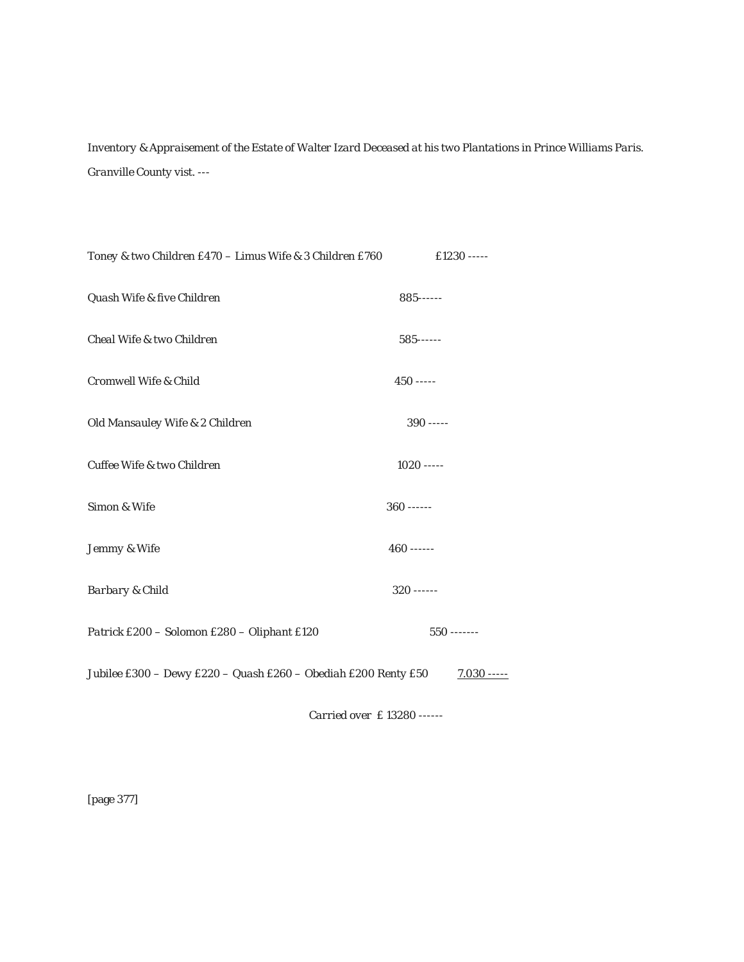*Inventory & Appraisement of the Estate of Walter Izard Deceased at his two Plantations in Prince Williams Paris. Granville County vist. ---*

| Toney & two Children £470 - Limus Wife & 3 Children £760       | £1230 -----   |
|----------------------------------------------------------------|---------------|
| Quash Wife & five Children                                     | $885$ ------  |
| Cheal Wife & two Children                                      | $585$ ------  |
| Cromwell Wife & Child                                          | $450$ -----   |
| Old Mansauley Wife & 2 Children                                | $390$ -----   |
| Cuffee Wife & two Children                                     | $1020$ -----  |
| Simon & Wife                                                   | $360$ ------  |
| Jemmy & Wife                                                   | $460$ ------  |
| <b>Barbary &amp; Child</b>                                     | $320$ ------  |
| Patrick £200 - Solomon £280 - Oliphant £120                    | $550$ ------- |
| Jubilee £300 - Dewy £220 - Quash £260 - Obediah £200 Renty £50 | $7.030$ ----- |
|                                                                |               |

 *Carried over £ 13280 ------*

[page 377]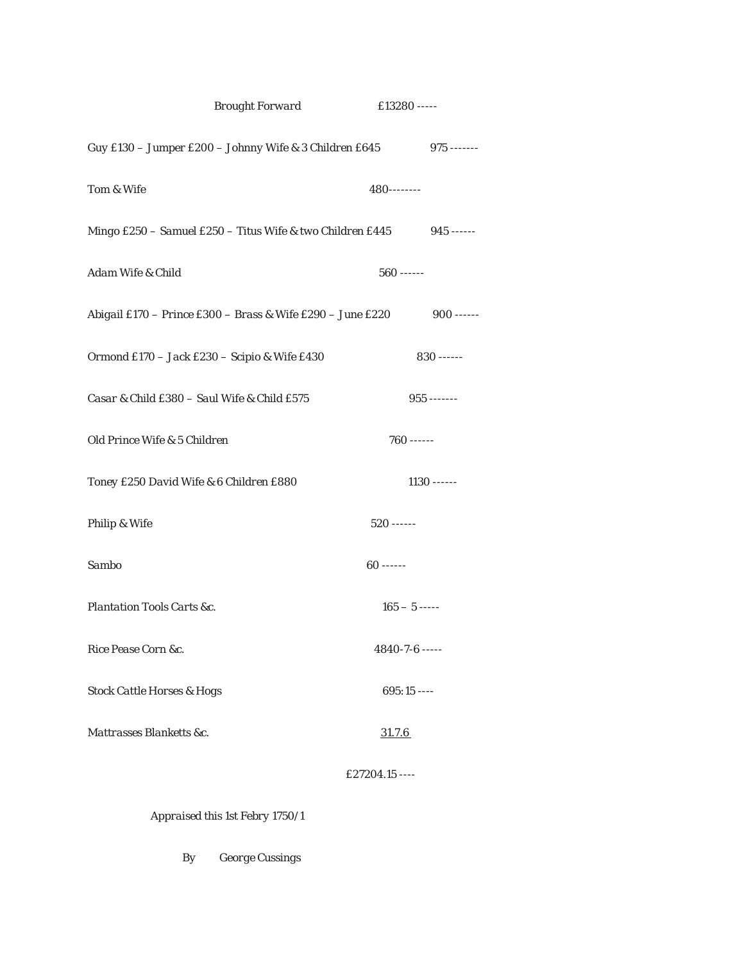|                                             | <b>Brought Forward</b>                                             | £13280 -----         |               |
|---------------------------------------------|--------------------------------------------------------------------|----------------------|---------------|
|                                             | Guy £130 - Jumper £200 - Johnny Wife & 3 Children £645 975 ------- |                      |               |
| Tom & Wife                                  |                                                                    | $480$ --------       |               |
|                                             | Mingo £250 - Samuel £250 - Titus Wife & two Children £445          |                      | $945$ ------  |
| Adam Wife & Child                           |                                                                    | $560$ ------         |               |
|                                             | Abigail £170 – Prince £300 – Brass & Wife £290 – June £220         |                      | $900$ ------  |
|                                             | Ormond £170 - Jack £230 - Scipio & Wife £430                       |                      | $830$ ------  |
| Casar & Child £380 - Saul Wife & Child £575 |                                                                    |                      | $955$ ------- |
| Old Prince Wife & 5 Children                |                                                                    | $760$ ------         |               |
| Toney £250 David Wife & 6 Children £880     |                                                                    |                      | $1130$ ------ |
| Philip & Wife                               |                                                                    | $520$ ------         |               |
| Sambo                                       |                                                                    | $60$ ------          |               |
| Plantation Tools Carts &c.                  |                                                                    | $165 - 5$ -----      |               |
| Rice Pease Corn &c.                         |                                                                    | $4840 - 7 - 6$ ----- |               |
| <b>Stock Cattle Horses &amp; Hogs</b>       |                                                                    | $695:15$ ----        |               |
| Mattrasses Blanketts &c.                    |                                                                    | 31.7.6               |               |
|                                             |                                                                    | £27204.15 ----       |               |
|                                             |                                                                    |                      |               |

 *Appraised this 1st Febry 1750/1*

 *By George Cussings*